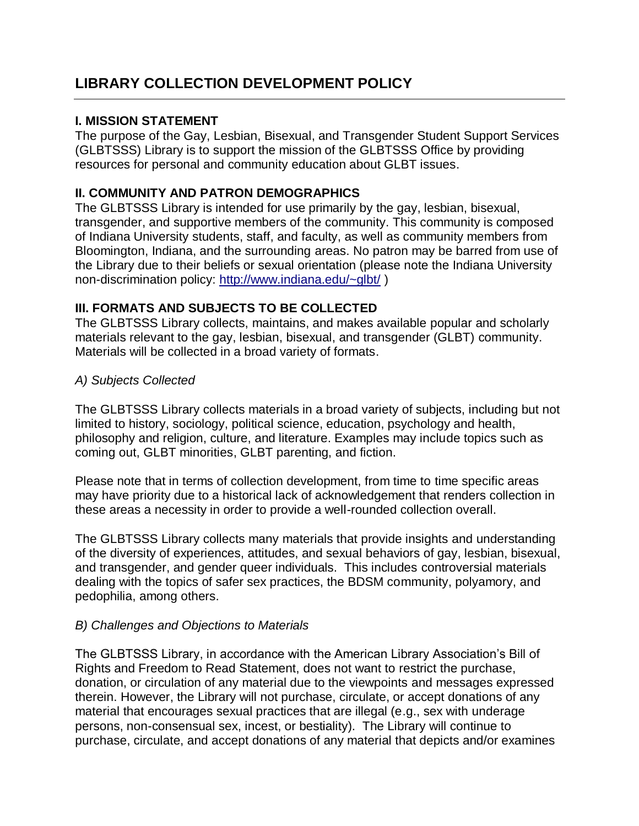# **LIBRARY COLLECTION DEVELOPMENT POLICY**

### **I. MISSION STATEMENT**

The purpose of the Gay, Lesbian, Bisexual, and Transgender Student Support Services (GLBTSSS) Library is to support the mission of the GLBTSSS Office by providing resources for personal and community education about GLBT issues.

# **II. COMMUNITY AND PATRON DEMOGRAPHICS**

The GLBTSSS Library is intended for use primarily by the gay, lesbian, bisexual, transgender, and supportive members of the community. This community is composed of Indiana University students, staff, and faculty, as well as community members from Bloomington, Indiana, and the surrounding areas. No patron may be barred from use of the Library due to their beliefs or sexual orientation (please note the Indiana University non-discrimination policy: <http://www.indiana.edu/~glbt/> )

### **III. FORMATS AND SUBJECTS TO BE COLLECTED**

The GLBTSSS Library collects, maintains, and makes available popular and scholarly materials relevant to the gay, lesbian, bisexual, and transgender (GLBT) community. Materials will be collected in a broad variety of formats.

### *A) Subjects Collected*

The GLBTSSS Library collects materials in a broad variety of subjects, including but not limited to history, sociology, political science, education, psychology and health, philosophy and religion, culture, and literature. Examples may include topics such as coming out, GLBT minorities, GLBT parenting, and fiction.

Please note that in terms of collection development, from time to time specific areas may have priority due to a historical lack of acknowledgement that renders collection in these areas a necessity in order to provide a well-rounded collection overall.

The GLBTSSS Library collects many materials that provide insights and understanding of the diversity of experiences, attitudes, and sexual behaviors of gay, lesbian, bisexual, and transgender, and gender queer individuals. This includes controversial materials dealing with the topics of safer sex practices, the BDSM community, polyamory, and pedophilia, among others.

#### *B) Challenges and Objections to Materials*

The GLBTSSS Library, in accordance with the American Library Association's Bill of Rights and Freedom to Read Statement, does not want to restrict the purchase, donation, or circulation of any material due to the viewpoints and messages expressed therein. However, the Library will not purchase, circulate, or accept donations of any material that encourages sexual practices that are illegal (e.g., sex with underage persons, non-consensual sex, incest, or bestiality). The Library will continue to purchase, circulate, and accept donations of any material that depicts and/or examines